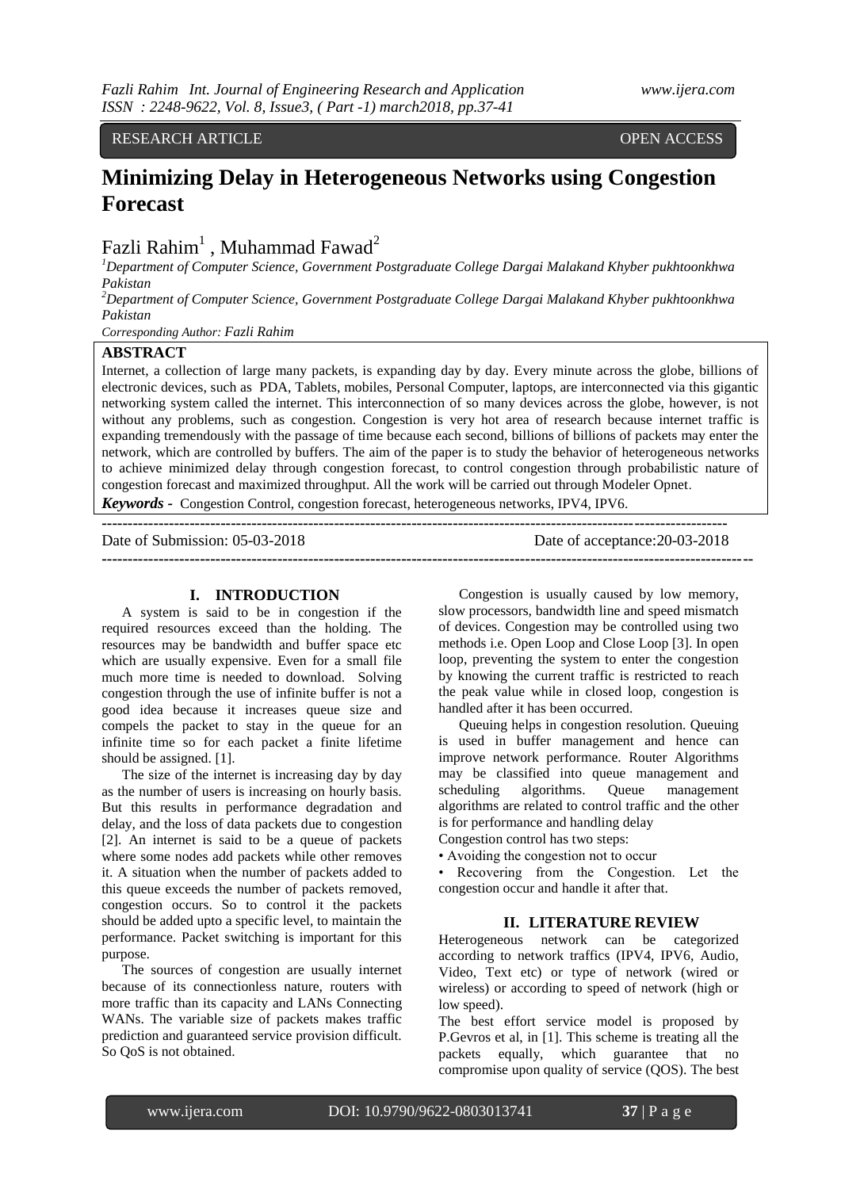RESEARCH ARTICLE **OPEN ACCESS** 

# **Minimizing Delay in Heterogeneous Networks using Congestion Forecast**

Fazli Rahim<sup>1</sup> , Muhammad Fawad<sup>2</sup>

*<sup>1</sup>Department of Computer Science, Government Postgraduate College Dargai Malakand Khyber pukhtoonkhwa Pakistan*

*<sup>2</sup>Department of Computer Science, Government Postgraduate College Dargai Malakand Khyber pukhtoonkhwa Pakistan*

*Corresponding Author: Fazli Rahim*

# **ABSTRACT**

Internet, a collection of large many packets, is expanding day by day. Every minute across the globe, billions of electronic devices, such as PDA, Tablets, mobiles, Personal Computer, laptops, are interconnected via this gigantic networking system called the internet. This interconnection of so many devices across the globe, however, is not without any problems, such as congestion. Congestion is very hot area of research because internet traffic is expanding tremendously with the passage of time because each second, billions of billions of packets may enter the network, which are controlled by buffers. The aim of the paper is to study the behavior of heterogeneous networks to achieve minimized delay through congestion forecast, to control congestion through probabilistic nature of congestion forecast and maximized throughput. All the work will be carried out through Modeler Opnet.

*Keywords -* Congestion Control, congestion forecast, heterogeneous networks, IPV4, IPV6.

| Date of Submission: 05-03-2018 | Date of acceptance: 20-03-2018 |
|--------------------------------|--------------------------------|
|                                |                                |

#### **I. INTRODUCTION**

A system is said to be in congestion if the required resources exceed than the holding. The resources may be bandwidth and buffer space etc which are usually expensive. Even for a small file much more time is needed to download. Solving congestion through the use of infinite buffer is not a good idea because it increases queue size and compels the packet to stay in the queue for an infinite time so for each packet a finite lifetime should be assigned. [1].

The size of the internet is increasing day by day as the number of users is increasing on hourly basis. But this results in performance degradation and delay, and the loss of data packets due to congestion [2]. An internet is said to be a queue of packets where some nodes add packets while other removes it. A situation when the number of packets added to this queue exceeds the number of packets removed, congestion occurs. So to control it the packets should be added upto a specific level, to maintain the performance. Packet switching is important for this purpose.

The sources of congestion are usually internet because of its connectionless nature, routers with more traffic than its capacity and LANs Connecting WANs. The variable size of packets makes traffic prediction and guaranteed service provision difficult. So QoS is not obtained.

Congestion is usually caused by low memory, slow processors, bandwidth line and speed mismatch of devices. Congestion may be controlled using two methods i.e. Open Loop and Close Loop [3]. In open loop, preventing the system to enter the congestion by knowing the current traffic is restricted to reach the peak value while in closed loop, congestion is handled after it has been occurred.

Queuing helps in congestion resolution. Queuing is used in buffer management and hence can improve network performance. Router Algorithms may be classified into queue management and scheduling algorithms. Queue management algorithms are related to control traffic and the other is for performance and handling delay

Congestion control has two steps:

• Avoiding the congestion not to occur

• Recovering from the Congestion. Let the congestion occur and handle it after that.

### **II. LITERATURE REVIEW**

Heterogeneous network can be categorized according to network traffics (IPV4, IPV6, Audio, Video, Text etc) or type of network (wired or wireless) or according to speed of network (high or low speed).

The best effort service model is proposed by P.Gevros et al, in [1]. This scheme is treating all the packets equally, which guarantee that no compromise upon quality of service (QOS). The best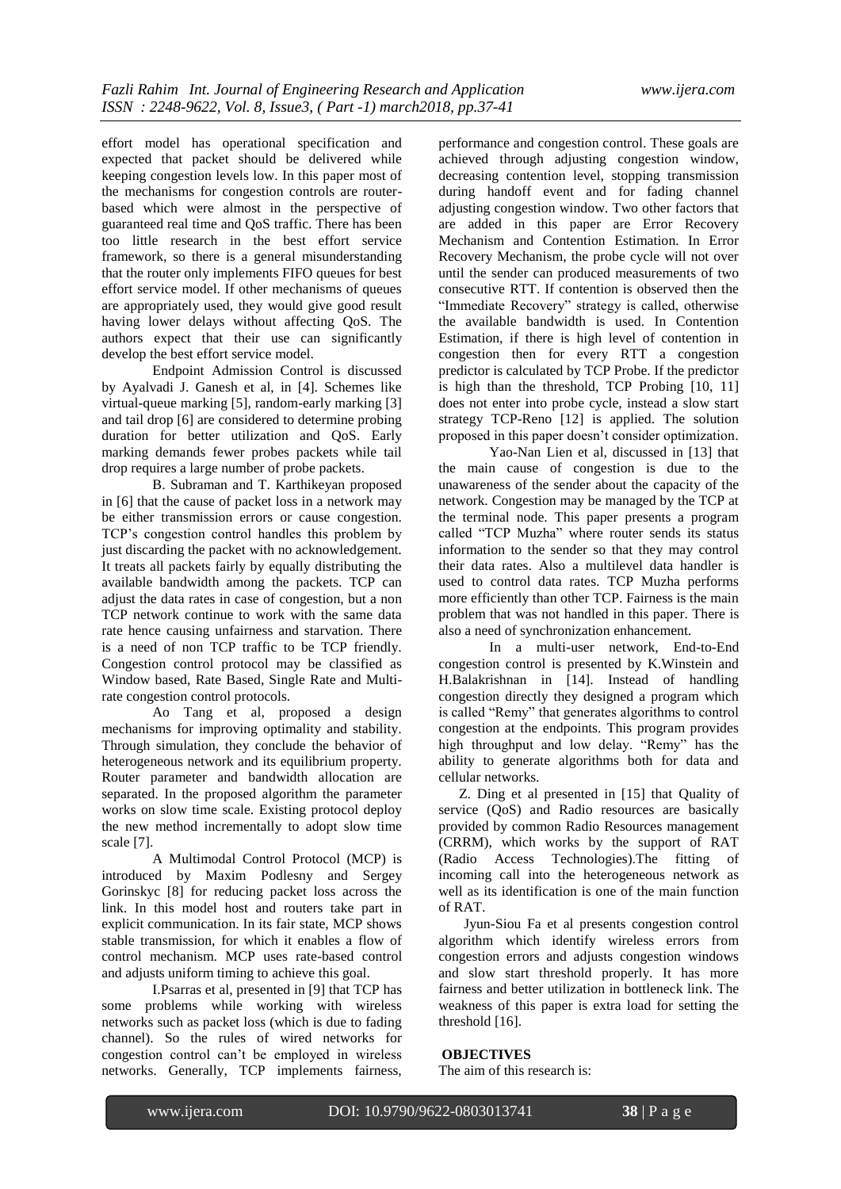effort model has operational specification and expected that packet should be delivered while keeping congestion levels low. In this paper most of the mechanisms for congestion controls are routerbased which were almost in the perspective of guaranteed real time and QoS traffic. There has been too little research in the best effort service framework, so there is a general misunderstanding that the router only implements FIFO queues for best effort service model. If other mechanisms of queues are appropriately used, they would give good result having lower delays without affecting QoS. The authors expect that their use can significantly develop the best effort service model.

Endpoint Admission Control is discussed by Ayalvadi J. Ganesh et al, in [4]. Schemes like virtual-queue marking [5], random-early marking [3] and tail drop [6] are considered to determine probing duration for better utilization and QoS. Early marking demands fewer probes packets while tail drop requires a large number of probe packets.

B. Subraman and T. Karthikeyan proposed in [6] that the cause of packet loss in a network may be either transmission errors or cause congestion. TCP's congestion control handles this problem by just discarding the packet with no acknowledgement. It treats all packets fairly by equally distributing the available bandwidth among the packets. TCP can adjust the data rates in case of congestion, but a non TCP network continue to work with the same data rate hence causing unfairness and starvation. There is a need of non TCP traffic to be TCP friendly. Congestion control protocol may be classified as Window based, Rate Based, Single Rate and Multirate congestion control protocols.

Ao Tang et al, proposed a design mechanisms for improving optimality and stability. Through simulation, they conclude the behavior of heterogeneous network and its equilibrium property. Router parameter and bandwidth allocation are separated. In the proposed algorithm the parameter works on slow time scale. Existing protocol deploy the new method incrementally to adopt slow time scale [7].

A Multimodal Control Protocol (MCP) is introduced by Maxim Podlesny and Sergey Gorinskyc [8] for reducing packet loss across the link. In this model host and routers take part in explicit communication. In its fair state, MCP shows stable transmission, for which it enables a flow of control mechanism. MCP uses rate-based control and adjusts uniform timing to achieve this goal.

I.Psarras et al, presented in [9] that TCP has some problems while working with wireless networks such as packet loss (which is due to fading channel). So the rules of wired networks for congestion control can't be employed in wireless networks. Generally, TCP implements fairness,

performance and congestion control. These goals are achieved through adjusting congestion window, decreasing contention level, stopping transmission during handoff event and for fading channel adjusting congestion window. Two other factors that are added in this paper are Error Recovery Mechanism and Contention Estimation. In Error Recovery Mechanism, the probe cycle will not over until the sender can produced measurements of two consecutive RTT. If contention is observed then the "Immediate Recovery" strategy is called, otherwise the available bandwidth is used. In Contention Estimation, if there is high level of contention in congestion then for every RTT a congestion predictor is calculated by TCP Probe. If the predictor is high than the threshold, TCP Probing [10, 11] does not enter into probe cycle, instead a slow start strategy TCP-Reno [12] is applied. The solution proposed in this paper doesn't consider optimization.

Yao-Nan Lien et al, discussed in [13] that the main cause of congestion is due to the unawareness of the sender about the capacity of the network. Congestion may be managed by the TCP at the terminal node. This paper presents a program called "TCP Muzha" where router sends its status information to the sender so that they may control their data rates. Also a multilevel data handler is used to control data rates. TCP Muzha performs more efficiently than other TCP. Fairness is the main problem that was not handled in this paper. There is also a need of synchronization enhancement.

In a multi-user network, End-to-End congestion control is presented by K.Winstein and H.Balakrishnan in [14]. Instead of handling congestion directly they designed a program which is called "Remy" that generates algorithms to control congestion at the endpoints. This program provides high throughput and low delay. "Remy" has the ability to generate algorithms both for data and cellular networks.

Z. Ding et al presented in [15] that Quality of service (QoS) and Radio resources are basically provided by common Radio Resources management (CRRM), which works by the support of RAT (Radio Access Technologies).The fitting of incoming call into the heterogeneous network as well as its identification is one of the main function of RAT.

Jyun-Siou Fa et al presents congestion control algorithm which identify wireless errors from congestion errors and adjusts congestion windows and slow start threshold properly. It has more fairness and better utilization in bottleneck link. The weakness of this paper is extra load for setting the threshold [16].

### **OBJECTIVES**

The aim of this research is: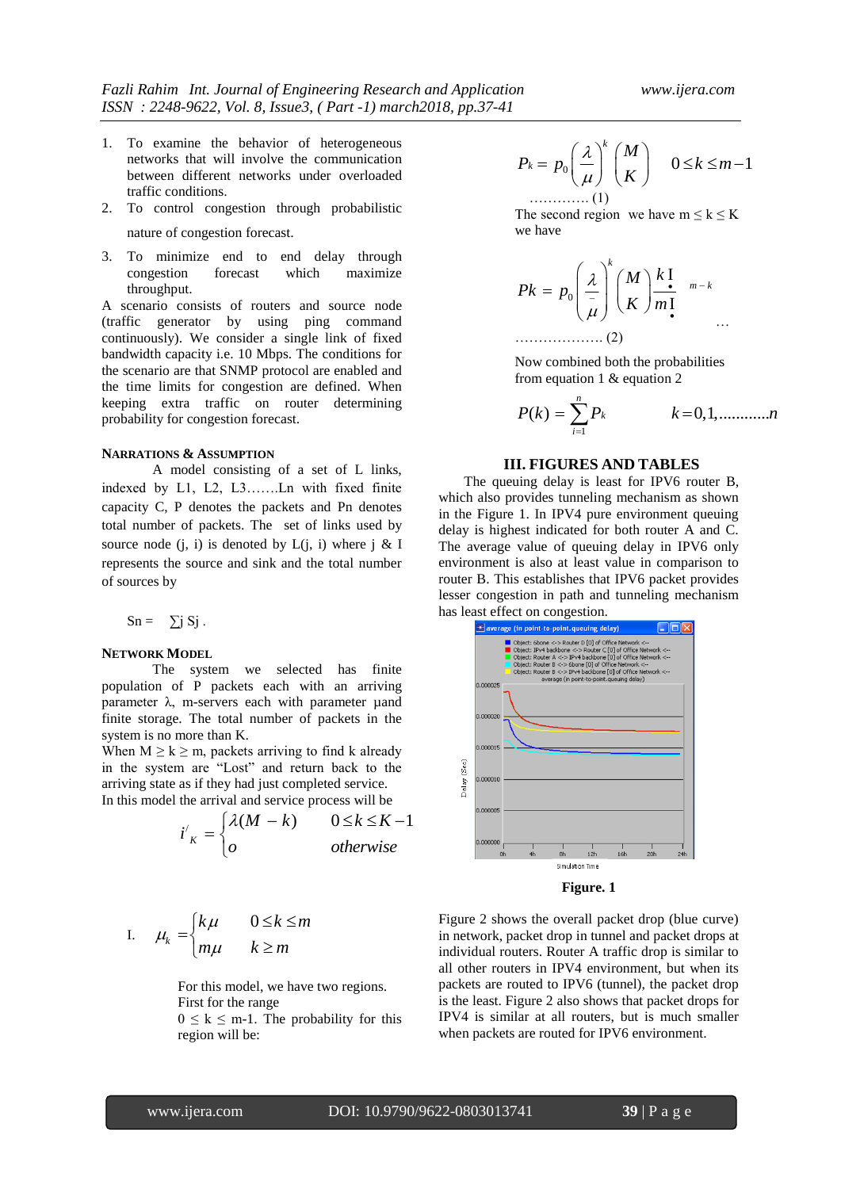- 1. To examine the behavior of heterogeneous networks that will involve the communication between different networks under overloaded traffic conditions.
- 2. To control congestion through probabilistic nature of congestion forecast.
- 3. To minimize end to end delay through congestion forecast which maximize throughput.

A scenario consists of routers and source node (traffic generator by using ping command continuously). We consider a single link of fixed bandwidth capacity i.e. 10 Mbps. The conditions for the scenario are that SNMP protocol are enabled and the time limits for congestion are defined. When keeping extra traffic on router determining probability for congestion forecast.

#### **NARRATIONS & ASSUMPTION**

A model consisting of a set of L links, indexed by L1, L2, L3…….Ln with fixed finite capacity C, P denotes the packets and Pn denotes total number of packets. The set of links used by source node  $(i, i)$  is denoted by  $L(j, i)$  where j & I represents the source and sink and the total number of sources by

$$
Sn = \sum j Sj.
$$

#### **NETWORK MODEL**

The system we selected has finite population of P packets each with an arriving parameter  $λ$ , m-servers each with parameter  $μ$ and finite storage. The total number of packets in the system is no more than K.

When  $M \ge k \ge m$ , packets arriving to find k already in the system are "Lost" and return back to the arriving state as if they had just completed service.

In this model the arrival and service process will be  
\n
$$
i'_{K} = \begin{cases} \lambda(M - k) & 0 \le k \le K - 1 \\ o & otherwise \end{cases}
$$

I. 
$$
\mu_k = \begin{cases} k\mu & 0 \le k \le m \\ m\mu & k \ge m \end{cases}
$$

For this model, we have two regions. First for the range

 $0 \leq k \leq m-1$ . The probability for this region will be:

$$
P_k = p_0 \left(\frac{\lambda}{\mu}\right)^k \binom{M}{K} \quad 0 \le k \le m-1
$$
  
............(1)

The second region we have  $m \le k \le K$ we have

$$
Pk = p_0 \left(\frac{\lambda}{\mu}\right)^k \left(\frac{M}{K}\right) \frac{k \cdot \mathbf{I}}{m \cdot \mathbf{I}} \Big|_{m-k}
$$

………………. (2)

Now combined both the probabilities from equation 1 & equation 2

$$
P(k) = \sum_{i=1}^{n} P_k \qquad k = 0, 1, \dots, n
$$

#### **III. FIGURES AND TABLES**

The queuing delay is least for IPV6 router B, which also provides tunneling mechanism as shown in the Figure 1. In IPV4 pure environment queuing delay is highest indicated for both router A and C. The average value of queuing delay in IPV6 only environment is also at least value in comparison to router B. This establishes that IPV6 packet provides lesser congestion in path and tunneling mechanism has least effect on congestion.



Figure 2 shows the overall packet drop (blue curve) in network, packet drop in tunnel and packet drops at individual routers. Router A traffic drop is similar to all other routers in IPV4 environment, but when its packets are routed to IPV6 (tunnel), the packet drop is the least. Figure 2 also shows that packet drops for IPV4 is similar at all routers, but is much smaller when packets are routed for IPV6 environment.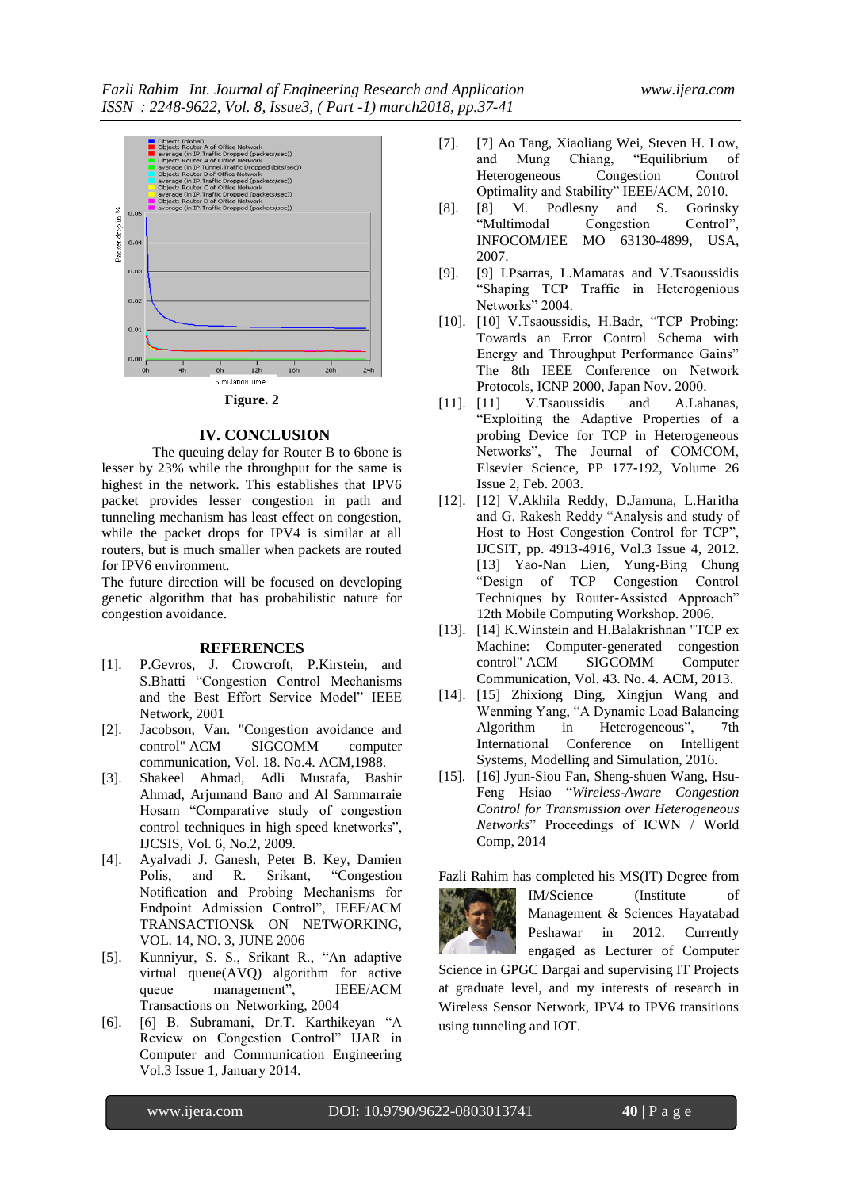

# **IV. CONCLUSION**

The queuing delay for Router B to 6bone is lesser by 23% while the throughput for the same is highest in the network. This establishes that IPV6 packet provides lesser congestion in path and tunneling mechanism has least effect on congestion, while the packet drops for IPV4 is similar at all routers, but is much smaller when packets are routed for IPV6 environment.

The future direction will be focused on developing genetic algorithm that has probabilistic nature for congestion avoidance.

#### **REFERENCES**

- [1]. P.Gevros, J. Crowcroft, P.Kirstein, and S.Bhatti "Congestion Control Mechanisms and the Best Effort Service Model" IEEE Network, 2001
- [2]. Jacobson, Van. "Congestion avoidance and control" ACM SIGCOMM computer communication, Vol. 18. No.4. ACM,1988.
- [3]. Shakeel Ahmad, Adli Mustafa, Bashir Ahmad, Arjumand Bano and Al Sammarraie Hosam "Comparative study of congestion control techniques in high speed knetworks", IJCSIS, Vol. 6, No.2, 2009.
- [4]. Ayalvadi J. Ganesh, Peter B. Key, Damien Polis, and R. Srikant, "Congestion Notification and Probing Mechanisms for Endpoint Admission Control", IEEE/ACM TRANSACTIONSk ON NETWORKING, VOL. 14, NO. 3, JUNE 2006
- [5]. Kunniyur, S. S., Srikant R., "An adaptive virtual queue(AVQ) algorithm for active queue management", IEEE/ACM Transactions on Networking, 2004
- [6]. [6] B. Subramani, Dr.T. Karthikeyan "A Review on Congestion Control" IJAR in Computer and Communication Engineering Vol.3 Issue 1, January 2014.
- [7]. [7] Ao Tang, Xiaoliang Wei, Steven H. Low, Chiang, "Equilibrium of<br>Congestion Control Heterogeneous Congestion Control
- Optimality and Stability" IEEE/ACM, 2010.<br>[8] M. Podlesny and S. Gorinsky  $[8]$ .  $[8]$  M. Podlesny and S. "Multimodal Congestion Control", INFOCOM/IEE MO 63130-4899, USA, 2007.
- [9]. [9] I.Psarras, L.Mamatas and V.Tsaoussidis "Shaping TCP Traffic in Heterogenious Networks" 2004.
- [10]. [10] V.Tsaoussidis, H.Badr, "TCP Probing: Towards an Error Control Schema with Energy and Throughput Performance Gains" The 8th IEEE Conference on Network Protocols, ICNP 2000, Japan Nov. 2000.
- [11]. [11] V.Tsaoussidis and A.Lahanas, "Exploiting the Adaptive Properties of a probing Device for TCP in Heterogeneous Networks", The Journal of COMCOM, Elsevier Science, PP 177-192, Volume 26 Issue 2, Feb. 2003.
- [12]. [12] V.Akhila Reddy, D.Jamuna, L.Haritha and G. Rakesh Reddy "Analysis and study of Host to Host Congestion Control for TCP", IJCSIT, pp. 4913-4916, Vol.3 Issue 4, 2012. [13] Yao-Nan Lien, Yung-Bing Chung "Design of TCP Congestion Control Techniques by Router-Assisted Approach" 12th Mobile Computing Workshop. 2006.
- [13]. [14] K.Winstein and H.Balakrishnan "TCP ex Machine: Computer-generated congestion<br>control" ACM SIGCOMM Computer control" ACM SIGCOMM Computer Communication, Vol. 43. No. 4. ACM, 2013.
- [14]. [15] Zhixiong Ding, Xingjun Wang and Wenming Yang, "A Dynamic Load Balancing Algorithm in Heterogeneous", 7th International Conference on Intelligent Systems, Modelling and Simulation, 2016.
- [15]. [16] Jyun-Siou Fan, Sheng-shuen Wang, Hsu-Feng Hsiao "*Wireless-Aware Congestion Control for Transmission over Heterogeneous Networks*" Proceedings of ICWN / World Comp, 2014

Fazli Rahim has completed his MS(IT) Degree from



IM/Science (Institute of Management & Sciences Hayatabad Peshawar in 2012. Currently engaged as Lecturer of Computer

Science in GPGC Dargai and supervising IT Projects at graduate level, and my interests of research in Wireless Sensor Network, IPV4 to IPV6 transitions using tunneling and IOT.